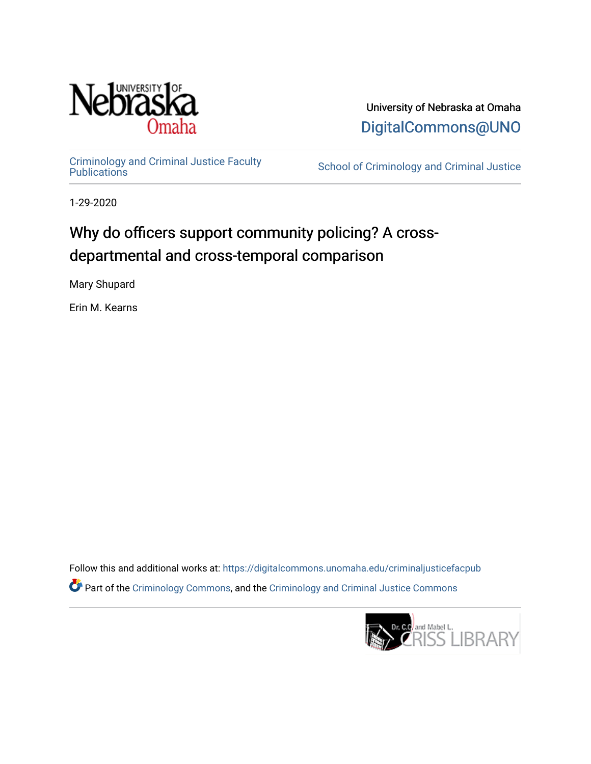

University of Nebraska at Omaha [DigitalCommons@UNO](https://digitalcommons.unomaha.edu/) 

[Criminology and Criminal Justice Faculty](https://digitalcommons.unomaha.edu/criminaljusticefacpub)

School of Criminology and Criminal Justice

1-29-2020

## Why do officers support community policing? A crossdepartmental and cross-temporal comparison

Mary Shupard

Erin M. Kearns

Follow this and additional works at: [https://digitalcommons.unomaha.edu/criminaljusticefacpub](https://digitalcommons.unomaha.edu/criminaljusticefacpub?utm_source=digitalcommons.unomaha.edu%2Fcriminaljusticefacpub%2F119&utm_medium=PDF&utm_campaign=PDFCoverPages)  Part of the [Criminology Commons](https://network.bepress.com/hgg/discipline/417?utm_source=digitalcommons.unomaha.edu%2Fcriminaljusticefacpub%2F119&utm_medium=PDF&utm_campaign=PDFCoverPages), and the [Criminology and Criminal Justice Commons](https://network.bepress.com/hgg/discipline/367?utm_source=digitalcommons.unomaha.edu%2Fcriminaljusticefacpub%2F119&utm_medium=PDF&utm_campaign=PDFCoverPages)

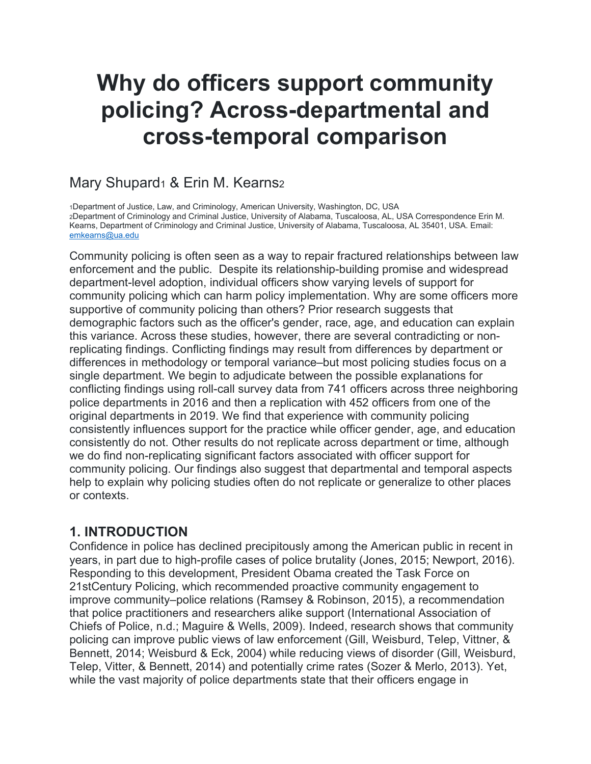# **Why do officers support community policing? Across-departmental and cross-temporal comparison**

## Mary Shupard<sub>1</sub> & Erin M. Kearns<sub>2</sub>

1Department of Justice, Law, and Criminology, American University, Washington, DC, USA 2Department of Criminology and Criminal Justice, University of Alabama, Tuscaloosa, AL, USA Correspondence Erin M. Kearns, Department of Criminology and Criminal Justice, University of Alabama, Tuscaloosa, AL 35401, USA. Email: [emkearns@ua.edu](mailto:emkearns@ua.edu)

Community policing is often seen as a way to repair fractured relationships between law enforcement and the public. Despite its relationship-building promise and widespread department-level adoption, individual officers show varying levels of support for community policing which can harm policy implementation. Why are some officers more supportive of community policing than others? Prior research suggests that demographic factors such as the officer's gender, race, age, and education can explain this variance. Across these studies, however, there are several contradicting or nonreplicating findings. Conflicting findings may result from differences by department or differences in methodology or temporal variance–but most policing studies focus on a single department. We begin to adjudicate between the possible explanations for conflicting findings using roll-call survey data from 741 officers across three neighboring police departments in 2016 and then a replication with 452 officers from one of the original departments in 2019. We find that experience with community policing consistently influences support for the practice while officer gender, age, and education consistently do not. Other results do not replicate across department or time, although we do find non-replicating significant factors associated with officer support for community policing. Our findings also suggest that departmental and temporal aspects help to explain why policing studies often do not replicate or generalize to other places or contexts.

## **1. INTRODUCTION**

Confidence in police has declined precipitously among the American public in recent in years, in part due to high-profile cases of police brutality (Jones, 2015; Newport, 2016). Responding to this development, President Obama created the Task Force on 21stCentury Policing, which recommended proactive community engagement to improve community–police relations (Ramsey & Robinson, 2015), a recommendation that police practitioners and researchers alike support (International Association of Chiefs of Police, n.d.; Maguire & Wells, 2009). Indeed, research shows that community policing can improve public views of law enforcement (Gill, Weisburd, Telep, Vittner, & Bennett, 2014; Weisburd & Eck, 2004) while reducing views of disorder (Gill, Weisburd, Telep, Vitter, & Bennett, 2014) and potentially crime rates (Sozer & Merlo, 2013). Yet, while the vast majority of police departments state that their officers engage in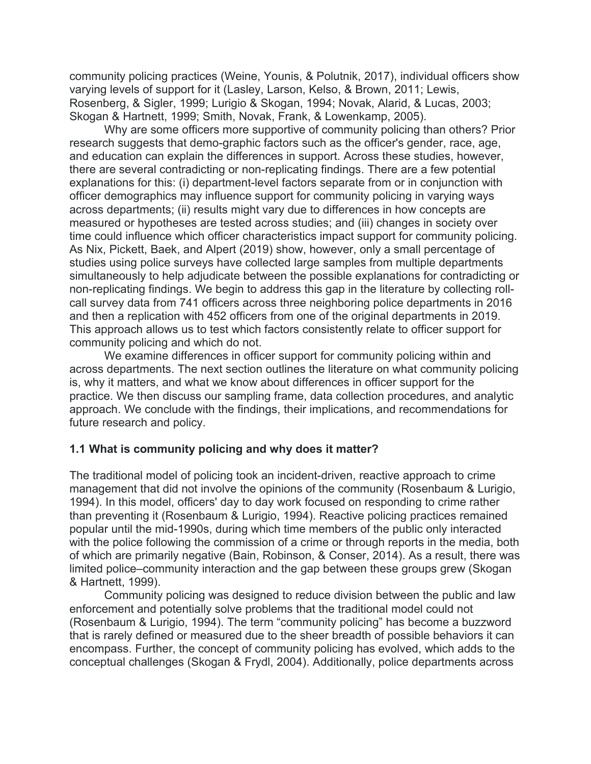community policing practices (Weine, Younis, & Polutnik, 2017), individual officers show varying levels of support for it (Lasley, Larson, Kelso, & Brown, 2011; Lewis, Rosenberg, & Sigler, 1999; Lurigio & Skogan, 1994; Novak, Alarid, & Lucas, 2003; Skogan & Hartnett, 1999; Smith, Novak, Frank, & Lowenkamp, 2005).

Why are some officers more supportive of community policing than others? Prior research suggests that demo-graphic factors such as the officer's gender, race, age, and education can explain the differences in support. Across these studies, however, there are several contradicting or non-replicating findings. There are a few potential explanations for this: (i) department-level factors separate from or in conjunction with officer demographics may influence support for community policing in varying ways across departments; (ii) results might vary due to differences in how concepts are measured or hypotheses are tested across studies; and (iii) changes in society over time could influence which officer characteristics impact support for community policing. As Nix, Pickett, Baek, and Alpert (2019) show, however, only a small percentage of studies using police surveys have collected large samples from multiple departments simultaneously to help adjudicate between the possible explanations for contradicting or non-replicating findings. We begin to address this gap in the literature by collecting rollcall survey data from 741 officers across three neighboring police departments in 2016 and then a replication with 452 officers from one of the original departments in 2019. This approach allows us to test which factors consistently relate to officer support for community policing and which do not.

We examine differences in officer support for community policing within and across departments. The next section outlines the literature on what community policing is, why it matters, and what we know about differences in officer support for the practice. We then discuss our sampling frame, data collection procedures, and analytic approach. We conclude with the findings, their implications, and recommendations for future research and policy.

#### **1.1 What is community policing and why does it matter?**

The traditional model of policing took an incident-driven, reactive approach to crime management that did not involve the opinions of the community (Rosenbaum & Lurigio, 1994). In this model, officers' day to day work focused on responding to crime rather than preventing it (Rosenbaum & Lurigio, 1994). Reactive policing practices remained popular until the mid-1990s, during which time members of the public only interacted with the police following the commission of a crime or through reports in the media, both of which are primarily negative (Bain, Robinson, & Conser, 2014). As a result, there was limited police–community interaction and the gap between these groups grew (Skogan & Hartnett, 1999).

Community policing was designed to reduce division between the public and law enforcement and potentially solve problems that the traditional model could not (Rosenbaum & Lurigio, 1994). The term "community policing" has become a buzzword that is rarely defined or measured due to the sheer breadth of possible behaviors it can encompass. Further, the concept of community policing has evolved, which adds to the conceptual challenges (Skogan & Frydl, 2004). Additionally, police departments across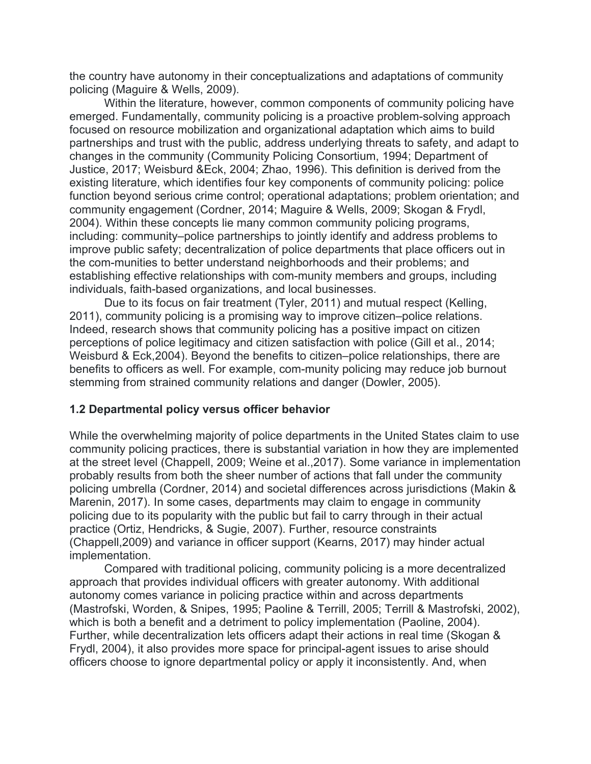the country have autonomy in their conceptualizations and adaptations of community policing (Maguire & Wells, 2009).

Within the literature, however, common components of community policing have emerged. Fundamentally, community policing is a proactive problem-solving approach focused on resource mobilization and organizational adaptation which aims to build partnerships and trust with the public, address underlying threats to safety, and adapt to changes in the community (Community Policing Consortium, 1994; Department of Justice, 2017; Weisburd &Eck, 2004; Zhao, 1996). This definition is derived from the existing literature, which identifies four key components of community policing: police function beyond serious crime control; operational adaptations; problem orientation; and community engagement (Cordner, 2014; Maguire & Wells, 2009; Skogan & Frydl, 2004). Within these concepts lie many common community policing programs, including: community–police partnerships to jointly identify and address problems to improve public safety; decentralization of police departments that place officers out in the com-munities to better understand neighborhoods and their problems; and establishing effective relationships with com-munity members and groups, including individuals, faith-based organizations, and local businesses.

Due to its focus on fair treatment (Tyler, 2011) and mutual respect (Kelling, 2011), community policing is a promising way to improve citizen–police relations. Indeed, research shows that community policing has a positive impact on citizen perceptions of police legitimacy and citizen satisfaction with police (Gill et al., 2014; Weisburd & Eck,2004). Beyond the benefits to citizen–police relationships, there are benefits to officers as well. For example, com-munity policing may reduce job burnout stemming from strained community relations and danger (Dowler, 2005).

#### **1.2 Departmental policy versus officer behavior**

While the overwhelming majority of police departments in the United States claim to use community policing practices, there is substantial variation in how they are implemented at the street level (Chappell, 2009; Weine et al.,2017). Some variance in implementation probably results from both the sheer number of actions that fall under the community policing umbrella (Cordner, 2014) and societal differences across jurisdictions (Makin & Marenin, 2017). In some cases, departments may claim to engage in community policing due to its popularity with the public but fail to carry through in their actual practice (Ortiz, Hendricks, & Sugie, 2007). Further, resource constraints (Chappell,2009) and variance in officer support (Kearns, 2017) may hinder actual implementation.

Compared with traditional policing, community policing is a more decentralized approach that provides individual officers with greater autonomy. With additional autonomy comes variance in policing practice within and across departments (Mastrofski, Worden, & Snipes, 1995; Paoline & Terrill, 2005; Terrill & Mastrofski, 2002), which is both a benefit and a detriment to policy implementation (Paoline, 2004). Further, while decentralization lets officers adapt their actions in real time (Skogan & Frydl, 2004), it also provides more space for principal-agent issues to arise should officers choose to ignore departmental policy or apply it inconsistently. And, when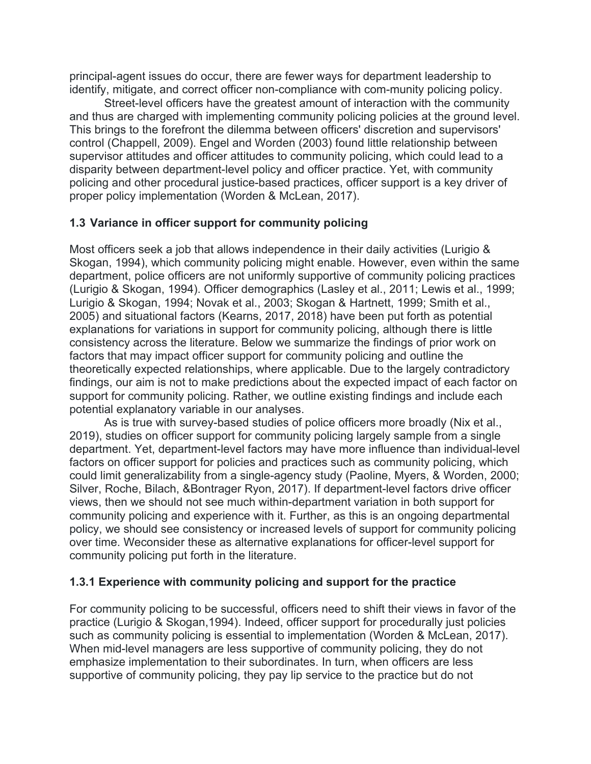principal-agent issues do occur, there are fewer ways for department leadership to identify, mitigate, and correct officer non-compliance with com-munity policing policy.

Street-level officers have the greatest amount of interaction with the community and thus are charged with implementing community policing policies at the ground level. This brings to the forefront the dilemma between officers' discretion and supervisors' control (Chappell, 2009). Engel and Worden (2003) found little relationship between supervisor attitudes and officer attitudes to community policing, which could lead to a disparity between department-level policy and officer practice. Yet, with community policing and other procedural justice-based practices, officer support is a key driver of proper policy implementation (Worden & McLean, 2017).

#### **1.3 Variance in officer support for community policing**

Most officers seek a job that allows independence in their daily activities (Lurigio & Skogan, 1994), which community policing might enable. However, even within the same department, police officers are not uniformly supportive of community policing practices (Lurigio & Skogan, 1994). Officer demographics (Lasley et al., 2011; Lewis et al., 1999; Lurigio & Skogan, 1994; Novak et al., 2003; Skogan & Hartnett, 1999; Smith et al., 2005) and situational factors (Kearns, 2017, 2018) have been put forth as potential explanations for variations in support for community policing, although there is little consistency across the literature. Below we summarize the findings of prior work on factors that may impact officer support for community policing and outline the theoretically expected relationships, where applicable. Due to the largely contradictory findings, our aim is not to make predictions about the expected impact of each factor on support for community policing. Rather, we outline existing findings and include each potential explanatory variable in our analyses.

As is true with survey-based studies of police officers more broadly (Nix et al., 2019), studies on officer support for community policing largely sample from a single department. Yet, department-level factors may have more influence than individual-level factors on officer support for policies and practices such as community policing, which could limit generalizability from a single-agency study (Paoline, Myers, & Worden, 2000; Silver, Roche, Bilach, &Bontrager Ryon, 2017). If department-level factors drive officer views, then we should not see much within-department variation in both support for community policing and experience with it. Further, as this is an ongoing departmental policy, we should see consistency or increased levels of support for community policing over time. Weconsider these as alternative explanations for officer-level support for community policing put forth in the literature.

#### **1.3.1 Experience with community policing and support for the practice**

For community policing to be successful, officers need to shift their views in favor of the practice (Lurigio & Skogan,1994). Indeed, officer support for procedurally just policies such as community policing is essential to implementation (Worden & McLean, 2017). When mid-level managers are less supportive of community policing, they do not emphasize implementation to their subordinates. In turn, when officers are less supportive of community policing, they pay lip service to the practice but do not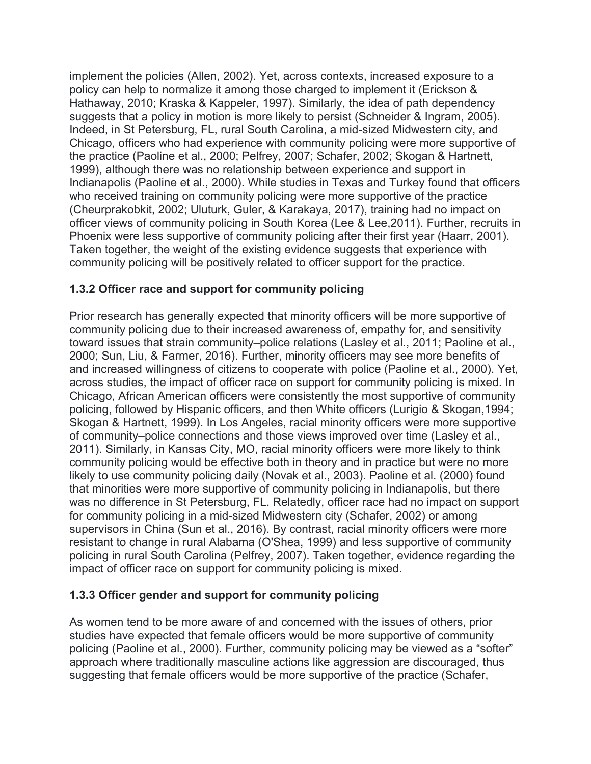implement the policies (Allen, 2002). Yet, across contexts, increased exposure to a policy can help to normalize it among those charged to implement it (Erickson & Hathaway, 2010; Kraska & Kappeler, 1997). Similarly, the idea of path dependency suggests that a policy in motion is more likely to persist (Schneider & Ingram, 2005). Indeed, in St Petersburg, FL, rural South Carolina, a mid-sized Midwestern city, and Chicago, officers who had experience with community policing were more supportive of the practice (Paoline et al., 2000; Pelfrey, 2007; Schafer, 2002; Skogan & Hartnett, 1999), although there was no relationship between experience and support in Indianapolis (Paoline et al., 2000). While studies in Texas and Turkey found that officers who received training on community policing were more supportive of the practice (Cheurprakobkit, 2002; Uluturk, Guler, & Karakaya, 2017), training had no impact on officer views of community policing in South Korea (Lee & Lee,2011). Further, recruits in Phoenix were less supportive of community policing after their first year (Haarr, 2001). Taken together, the weight of the existing evidence suggests that experience with community policing will be positively related to officer support for the practice.

#### **1.3.2 Officer race and support for community policing**

Prior research has generally expected that minority officers will be more supportive of community policing due to their increased awareness of, empathy for, and sensitivity toward issues that strain community–police relations (Lasley et al., 2011; Paoline et al., 2000; Sun, Liu, & Farmer, 2016). Further, minority officers may see more benefits of and increased willingness of citizens to cooperate with police (Paoline et al., 2000). Yet, across studies, the impact of officer race on support for community policing is mixed. In Chicago, African American officers were consistently the most supportive of community policing, followed by Hispanic officers, and then White officers (Lurigio & Skogan,1994; Skogan & Hartnett, 1999). In Los Angeles, racial minority officers were more supportive of community–police connections and those views improved over time (Lasley et al., 2011). Similarly, in Kansas City, MO, racial minority officers were more likely to think community policing would be effective both in theory and in practice but were no more likely to use community policing daily (Novak et al., 2003). Paoline et al. (2000) found that minorities were more supportive of community policing in Indianapolis, but there was no difference in St Petersburg, FL. Relatedly, officer race had no impact on support for community policing in a mid-sized Midwestern city (Schafer, 2002) or among supervisors in China (Sun et al., 2016). By contrast, racial minority officers were more resistant to change in rural Alabama (O'Shea, 1999) and less supportive of community policing in rural South Carolina (Pelfrey, 2007). Taken together, evidence regarding the impact of officer race on support for community policing is mixed.

#### **1.3.3 Officer gender and support for community policing**

As women tend to be more aware of and concerned with the issues of others, prior studies have expected that female officers would be more supportive of community policing (Paoline et al., 2000). Further, community policing may be viewed as a "softer" approach where traditionally masculine actions like aggression are discouraged, thus suggesting that female officers would be more supportive of the practice (Schafer,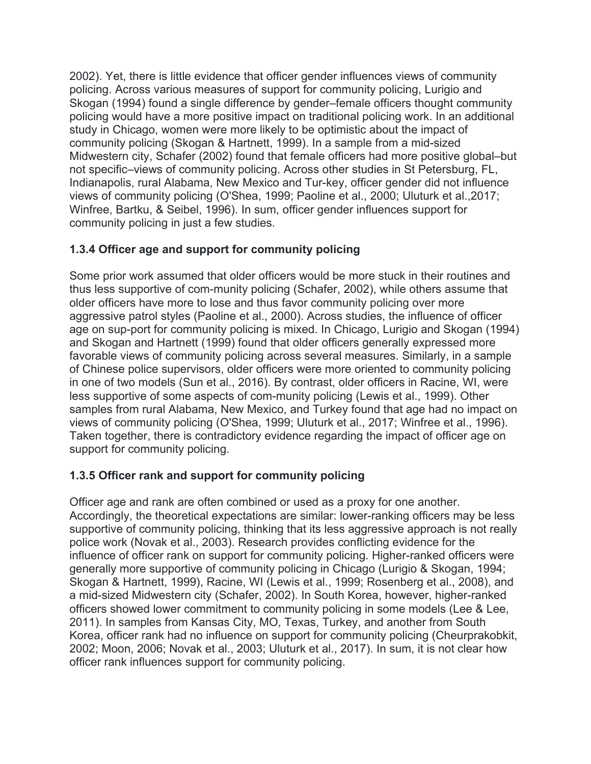2002). Yet, there is little evidence that officer gender influences views of community policing. Across various measures of support for community policing, Lurigio and Skogan (1994) found a single difference by gender–female officers thought community policing would have a more positive impact on traditional policing work. In an additional study in Chicago, women were more likely to be optimistic about the impact of community policing (Skogan & Hartnett, 1999). In a sample from a mid-sized Midwestern city, Schafer (2002) found that female officers had more positive global–but not specific–views of community policing. Across other studies in St Petersburg, FL, Indianapolis, rural Alabama, New Mexico and Tur-key, officer gender did not influence views of community policing (O'Shea, 1999; Paoline et al., 2000; Uluturk et al.,2017; Winfree, Bartku, & Seibel, 1996). In sum, officer gender influences support for community policing in just a few studies.

#### **1.3.4 Officer age and support for community policing**

Some prior work assumed that older officers would be more stuck in their routines and thus less supportive of com-munity policing (Schafer, 2002), while others assume that older officers have more to lose and thus favor community policing over more aggressive patrol styles (Paoline et al., 2000). Across studies, the influence of officer age on sup-port for community policing is mixed. In Chicago, Lurigio and Skogan (1994) and Skogan and Hartnett (1999) found that older officers generally expressed more favorable views of community policing across several measures. Similarly, in a sample of Chinese police supervisors, older officers were more oriented to community policing in one of two models (Sun et al., 2016). By contrast, older officers in Racine, WI, were less supportive of some aspects of com-munity policing (Lewis et al., 1999). Other samples from rural Alabama, New Mexico, and Turkey found that age had no impact on views of community policing (O'Shea, 1999; Uluturk et al., 2017; Winfree et al., 1996). Taken together, there is contradictory evidence regarding the impact of officer age on support for community policing.

#### **1.3.5 Officer rank and support for community policing**

Officer age and rank are often combined or used as a proxy for one another. Accordingly, the theoretical expectations are similar: lower-ranking officers may be less supportive of community policing, thinking that its less aggressive approach is not really police work (Novak et al., 2003). Research provides conflicting evidence for the influence of officer rank on support for community policing. Higher-ranked officers were generally more supportive of community policing in Chicago (Lurigio & Skogan, 1994; Skogan & Hartnett, 1999), Racine, WI (Lewis et al., 1999; Rosenberg et al., 2008), and a mid-sized Midwestern city (Schafer, 2002). In South Korea, however, higher-ranked officers showed lower commitment to community policing in some models (Lee & Lee, 2011). In samples from Kansas City, MO, Texas, Turkey, and another from South Korea, officer rank had no influence on support for community policing (Cheurprakobkit, 2002; Moon, 2006; Novak et al., 2003; Uluturk et al., 2017). In sum, it is not clear how officer rank influences support for community policing.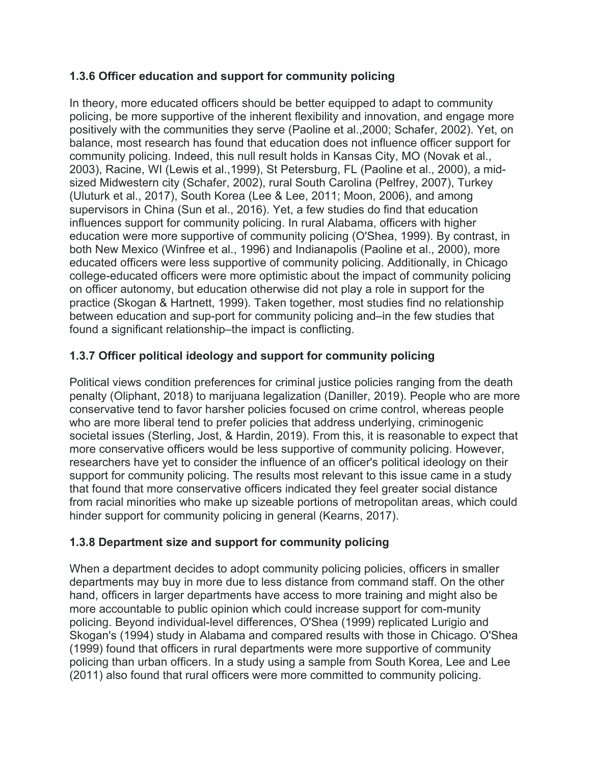#### **1.3.6 Officer education and support for community policing**

In theory, more educated officers should be better equipped to adapt to community policing, be more supportive of the inherent flexibility and innovation, and engage more positively with the communities they serve (Paoline et al.,2000; Schafer, 2002). Yet, on balance, most research has found that education does not influence officer support for community policing. Indeed, this null result holds in Kansas City, MO (Novak et al., 2003), Racine, WI (Lewis et al.,1999), St Petersburg, FL (Paoline et al., 2000), a midsized Midwestern city (Schafer, 2002), rural South Carolina (Pelfrey, 2007), Turkey (Uluturk et al., 2017), South Korea (Lee & Lee, 2011; Moon, 2006), and among supervisors in China (Sun et al., 2016). Yet, a few studies do find that education influences support for community policing. In rural Alabama, officers with higher education were more supportive of community policing (O'Shea, 1999). By contrast, in both New Mexico (Winfree et al., 1996) and Indianapolis (Paoline et al., 2000), more educated officers were less supportive of community policing. Additionally, in Chicago college-educated officers were more optimistic about the impact of community policing on officer autonomy, but education otherwise did not play a role in support for the practice (Skogan & Hartnett, 1999). Taken together, most studies find no relationship between education and sup-port for community policing and–in the few studies that found a significant relationship–the impact is conflicting.

#### **1.3.7 Officer political ideology and support for community policing**

Political views condition preferences for criminal justice policies ranging from the death penalty (Oliphant, 2018) to marijuana legalization (Daniller, 2019). People who are more conservative tend to favor harsher policies focused on crime control, whereas people who are more liberal tend to prefer policies that address underlying, criminogenic societal issues (Sterling, Jost, & Hardin, 2019). From this, it is reasonable to expect that more conservative officers would be less supportive of community policing. However, researchers have yet to consider the influence of an officer's political ideology on their support for community policing. The results most relevant to this issue came in a study that found that more conservative officers indicated they feel greater social distance from racial minorities who make up sizeable portions of metropolitan areas, which could hinder support for community policing in general (Kearns, 2017).

#### **1.3.8 Department size and support for community policing**

When a department decides to adopt community policing policies, officers in smaller departments may buy in more due to less distance from command staff. On the other hand, officers in larger departments have access to more training and might also be more accountable to public opinion which could increase support for com-munity policing. Beyond individual-level differences, O'Shea (1999) replicated Lurigio and Skogan's (1994) study in Alabama and compared results with those in Chicago. O'Shea (1999) found that officers in rural departments were more supportive of community policing than urban officers. In a study using a sample from South Korea, Lee and Lee (2011) also found that rural officers were more committed to community policing.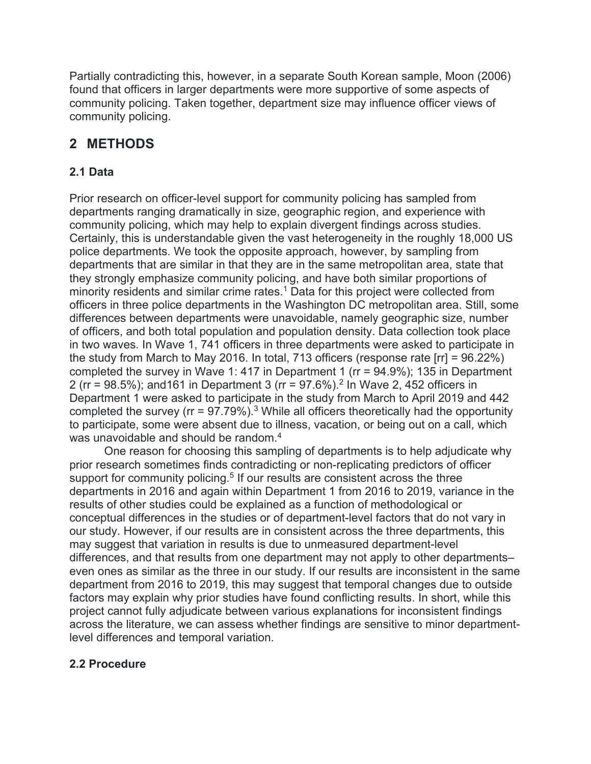Partially contradicting this, however, in a separate South Korean sample, Moon (2006) found that officers in larger departments were more supportive of some aspects of community policing. Taken together, department size may influence officer views of community policing.

## **2 METHODS**

#### **2.1 Data**

Prior research on officer-level support for community policing has sampled from departments ranging dramatically in size, geographic region, and experience with community policing, which may help to explain divergent findings across studies. Certainly, this is understandable given the vast heterogeneity in the roughly 18,000 US police departments. We took the opposite approach, however, by sampling from departments that are similar in that they are in the same metropolitan area, state that they strongly emphasize community policing, and have both similar proportions of minority residents and similar crime rates.<sup>1</sup> Data for this project were collected from officers in three police departments in the Washington DC metropolitan area. Still, some differences between departments were unavoidable, namely geographic size, number of officers, and both total population and population density. Data collection took place in two waves. In Wave 1, 741 officers in three departments were asked to participate in the study from March to May 2016. In total, 713 officers (response rate [rr] = 96.22%) completed the survey in Wave 1: 417 in Department 1 (rr = 94.9%); 135 in Department 2 (rr =  $98.5\%$ ); and 161 in Department 3 (rr =  $97.6\%$ ).<sup>2</sup> In Wave 2, 452 officers in Department 1 were asked to participate in the study from March to April 2019 and 442 completed the survey ( $rr = 97.79\%$ ).<sup>3</sup> While all officers theoretically had the opportunity to participate, some were absent due to illness, vacation, or being out on a call, which was unavoidable and should be random.<sup>4</sup>

One reason for choosing this sampling of departments is to help adjudicate why prior research sometimes finds contradicting or non-replicating predictors of officer support for community policing.<sup>5</sup> If our results are consistent across the three departments in 2016 and again within Department 1 from 2016 to 2019, variance in the results of other studies could be explained as a function of methodological or conceptual differences in the studies or of department-level factors that do not vary in our study. However, if our results are in consistent across the three departments, this may suggest that variation in results is due to unmeasured department-level differences, and that results from one department may not apply to other departments– even ones as similar as the three in our study. If our results are inconsistent in the same department from 2016 to 2019, this may suggest that temporal changes due to outside factors may explain why prior studies have found conflicting results. In short, while this project cannot fully adjudicate between various explanations for inconsistent findings across the literature, we can assess whether findings are sensitive to minor departmentlevel differences and temporal variation.

#### **2.2 Procedure**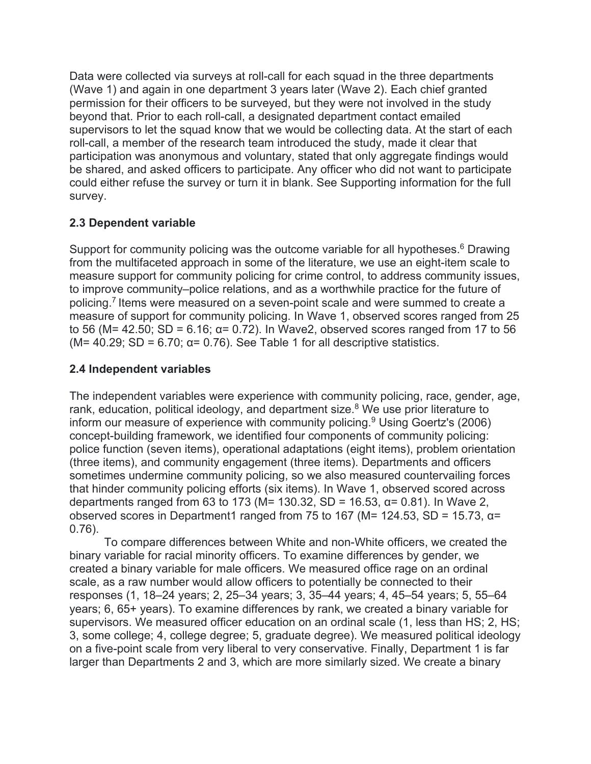Data were collected via surveys at roll-call for each squad in the three departments (Wave 1) and again in one department 3 years later (Wave 2). Each chief granted permission for their officers to be surveyed, but they were not involved in the study beyond that. Prior to each roll-call, a designated department contact emailed supervisors to let the squad know that we would be collecting data. At the start of each roll-call, a member of the research team introduced the study, made it clear that participation was anonymous and voluntary, stated that only aggregate findings would be shared, and asked officers to participate. Any officer who did not want to participate could either refuse the survey or turn it in blank. See Supporting information for the full survey.

#### **2.3 Dependent variable**

Support for community policing was the outcome variable for all hypotheses.<sup>6</sup> Drawing from the multifaceted approach in some of the literature, we use an eight-item scale to measure support for community policing for crime control, to address community issues, to improve community–police relations, and as a worthwhile practice for the future of policing.<sup>7</sup> Items were measured on a seven-point scale and were summed to create a measure of support for community policing. In Wave 1, observed scores ranged from 25 to 56 (M= 42.50; SD = 6.16; α= 0.72). In Wave2, observed scores ranged from 17 to 56 ( $M = 40.29$ ; SD = 6.70;  $\alpha = 0.76$ ). See Table 1 for all descriptive statistics.

#### **2.4 Independent variables**

The independent variables were experience with community policing, race, gender, age, rank, education, political ideology, and department size. $8$  We use prior literature to inform our measure of experience with community policing.<sup>9</sup> Using Goertz's (2006) concept-building framework, we identified four components of community policing: police function (seven items), operational adaptations (eight items), problem orientation (three items), and community engagement (three items). Departments and officers sometimes undermine community policing, so we also measured countervailing forces that hinder community policing efforts (six items). In Wave 1, observed scored across departments ranged from 63 to 173 (M= 130.32, SD = 16.53,  $\alpha$ = 0.81). In Wave 2, observed scores in Department1 ranged from 75 to 167 (M= 124.53, SD = 15.73,  $\alpha$ = 0.76).

To compare differences between White and non-White officers, we created the binary variable for racial minority officers. To examine differences by gender, we created a binary variable for male officers. We measured office rage on an ordinal scale, as a raw number would allow officers to potentially be connected to their responses (1, 18–24 years; 2, 25–34 years; 3, 35–44 years; 4, 45–54 years; 5, 55–64 years; 6, 65+ years). To examine differences by rank, we created a binary variable for supervisors. We measured officer education on an ordinal scale (1, less than HS; 2, HS; 3, some college; 4, college degree; 5, graduate degree). We measured political ideology on a five-point scale from very liberal to very conservative. Finally, Department 1 is far larger than Departments 2 and 3, which are more similarly sized. We create a binary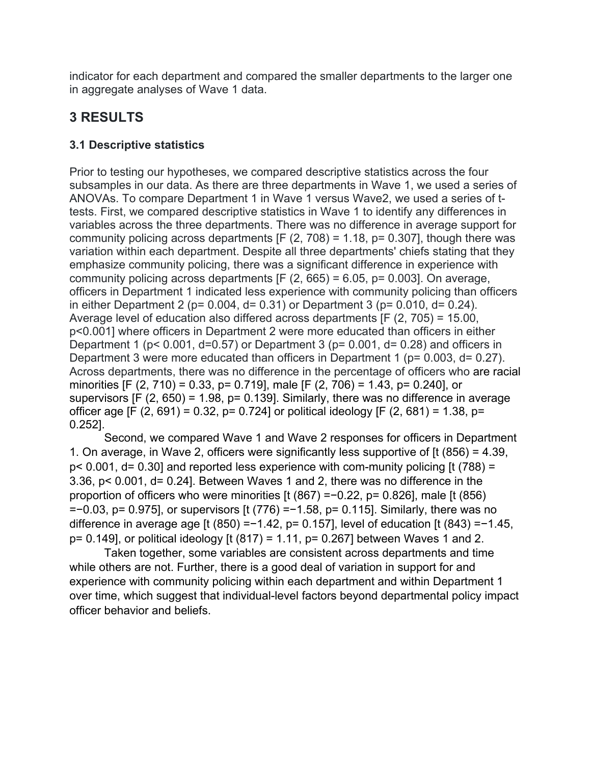indicator for each department and compared the smaller departments to the larger one in aggregate analyses of Wave 1 data.

## **3 RESULTS**

#### **3.1 Descriptive statistics**

Prior to testing our hypotheses, we compared descriptive statistics across the four subsamples in our data. As there are three departments in Wave 1, we used a series of ANOVAs. To compare Department 1 in Wave 1 versus Wave2, we used a series of ttests. First, we compared descriptive statistics in Wave 1 to identify any differences in variables across the three departments. There was no difference in average support for community policing across departments  $[F (2, 708) = 1.18, p = 0.307]$ , though there was variation within each department. Despite all three departments' chiefs stating that they emphasize community policing, there was a significant difference in experience with community policing across departments  $[Fe (2, 665) = 6.05, p = 0.003]$ . On average, officers in Department 1 indicated less experience with community policing than officers in either Department 2 ( $p = 0.004$ ,  $d = 0.31$ ) or Department 3 ( $p = 0.010$ ,  $d = 0.24$ ). Average level of education also differed across departments [F (2, 705) = 15.00, p<0.001] where officers in Department 2 were more educated than officers in either Department 1 ( $p$ < 0.001, d=0.57) or Department 3 ( $p$ = 0.001, d= 0.28) and officers in Department 3 were more educated than officers in Department 1 (p= 0.003, d= 0.27). Across departments, there was no difference in the percentage of officers who are racial minorities [F (2, 710) = 0.33, p= 0.719], male [F (2, 706) = 1.43, p= 0.240], or supervisors [F (2, 650) = 1.98, p= 0.139]. Similarly, there was no difference in average officer age [F  $(2, 691) = 0.32$ , p= 0.724] or political ideology [F  $(2, 681) = 1.38$ , p= 0.252].

Second, we compared Wave 1 and Wave 2 responses for officers in Department 1. On average, in Wave 2, officers were significantly less supportive of [t (856) = 4.39, p< 0.001, d= 0.30] and reported less experience with com-munity policing [t (788) = 3.36, p< 0.001, d= 0.24]. Between Waves 1 and 2, there was no difference in the proportion of officers who were minorities [t (867) =−0.22, p= 0.826], male [t (856) =−0.03, p= 0.975], or supervisors [t (776) =−1.58, p= 0.115]. Similarly, there was no difference in average age [t (850) =−1.42, p= 0.157], level of education [t (843) =−1.45, p= 0.149], or political ideology [t (817) = 1.11, p= 0.267] between Waves 1 and 2.

Taken together, some variables are consistent across departments and time while others are not. Further, there is a good deal of variation in support for and experience with community policing within each department and within Department 1 over time, which suggest that individual-level factors beyond departmental policy impact officer behavior and beliefs.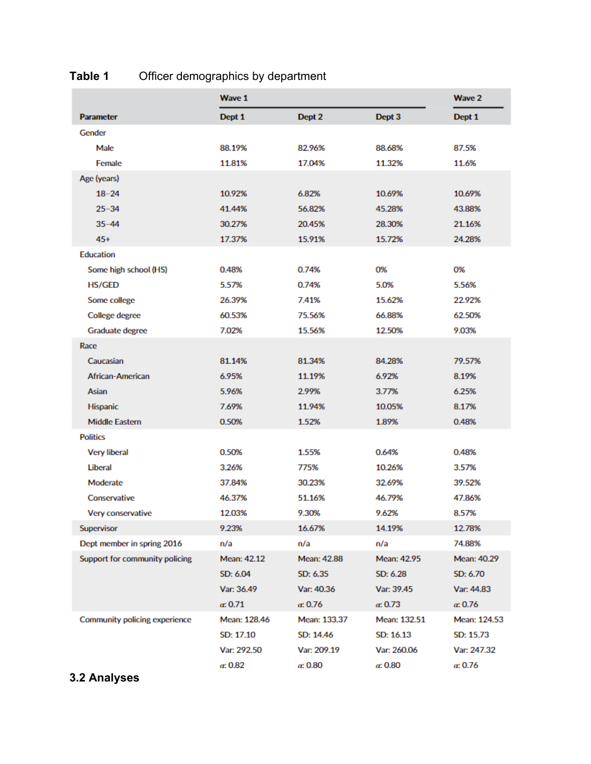|                                | Wave 1       | Wave 2          |              |                 |
|--------------------------------|--------------|-----------------|--------------|-----------------|
| <b>Parameter</b>               | Dept 1       | Dept 2          | Dept 3       | Dept 1          |
| Gender                         |              |                 |              |                 |
| Male                           | 88.19%       | 82.96%          | 88.68%       | 87.5%           |
| <b>Female</b>                  | 11.81%       | 17.04%          | 11.32%       | 11.6%           |
| Age (years)                    |              |                 |              |                 |
| $18 - 24$                      | 10.92%       | 6.82%           | 10.69%       | 10.69%          |
| $25 - 34$                      | 41.44%       | 56.82%          | 45.28%       | 43.88%          |
| $35 - 44$                      | 30.27%       | 20.45%          | 28.30%       | 21.16%          |
| $45+$                          | 17.37%       | 15.91%          | 15.72%       | 24.28%          |
| <b>Education</b>               |              |                 |              |                 |
| Some high school (HS)          | 0.48%        | 0.74%           | 0%           | 0%              |
| <b>HS/GED</b>                  | 5.57%        | 0.74%           | 5.0%         | 5.56%           |
| Some college                   | 26.39%       | 7.41%           | 15.62%       | 22.92%          |
| <b>College degree</b>          | 60.53%       | 75.56%          | 66.88%       | 62.50%          |
| Graduate degree                | 7.02%        | 15.56%          | 12.50%       | 9.03%           |
| Race                           |              |                 |              |                 |
| Caucasian                      | 81.14%       | 81.34%          | 84.28%       | 79.57%          |
| African-American               | 6.95%        | 11.19%          | 6.92%        | 8.19%           |
| Asian                          | 5.96%        | 2.99%           | 3.77%        | 6.25%           |
| <b>Hispanic</b>                | 7.69%        | 11.94%          | 10.05%       | 8.17%           |
| <b>Middle Eastern</b>          | 0.50%        | 1.52%           | 1.89%        | 0.48%           |
| <b>Politics</b>                |              |                 |              |                 |
| <b>Very liberal</b>            | 0.50%        | 1.55%           | 0.64%        | 0.48%           |
| Liberal                        | 3.26%        | 775%            | 10.26%       | 3.57%           |
| Moderate                       | 37.84%       | 30.23%          | 32.69%       | 39.52%          |
| Conservative                   | 46.37%       | 51.16%          | 46.79%       | 47.86%          |
| Very conservative              | 12.03%       | 9.30%           | 9.62%        | 8.57%           |
| Supervisor                     | 9.23%        | 16.67%          | 14.19%       | 12.78%          |
| Dept member in spring 2016     | n/a          | n/a             | n/a          | 74.88%          |
| Support for community policing | Mean: 42.12  | Mean: 42.88     | Mean: 42.95  | Mean: 40.29     |
|                                | SD: 6.04     | SD: 6.35        | SD: 6.28     | SD: 6.70        |
|                                | Var: 36.49   | Var: 40.36      | Var: 39.45   | Var: 44.83      |
|                                | a: 0.71      | $\alpha$ : 0.76 | a: 0.73      | $\alpha$ : 0.76 |
| Community policing experience  | Mean: 128.46 | Mean: 133.37    | Mean: 132.51 | Mean: 124.53    |
|                                | SD: 17.10    | SD: 14.46       | SD: 16.13    | SD: 15.73       |
|                                | Var: 292.50  | Var: 209.19     | Var: 260.06  | Var: 247.32     |
|                                | a: 0.82      | $\alpha$ : 0.80 | a: 0.80      | $\alpha$ : 0.76 |

## **Table 1** Officer demographics by department

## **3.2 Analyses**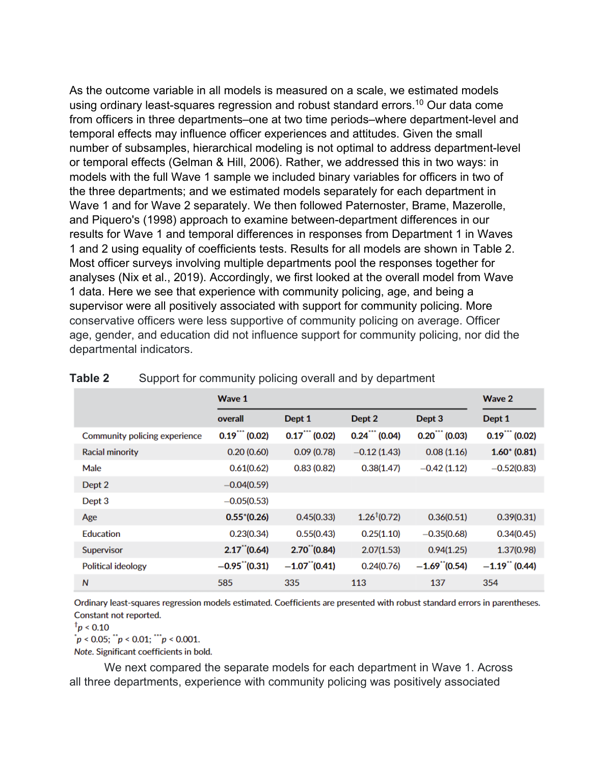As the outcome variable in all models is measured on a scale, we estimated models using ordinary least-squares regression and robust standard errors.<sup>10</sup> Our data come from officers in three departments–one at two time periods–where department-level and temporal effects may influence officer experiences and attitudes. Given the small number of subsamples, hierarchical modeling is not optimal to address department-level or temporal effects (Gelman & Hill, 2006). Rather, we addressed this in two ways: in models with the full Wave 1 sample we included binary variables for officers in two of the three departments; and we estimated models separately for each department in Wave 1 and for Wave 2 separately. We then followed Paternoster, Brame, Mazerolle, and Piquero's (1998) approach to examine between-department differences in our results for Wave 1 and temporal differences in responses from Department 1 in Waves 1 and 2 using equality of coefficients tests. Results for all models are shown in Table 2. Most officer surveys involving multiple departments pool the responses together for analyses (Nix et al., 2019). Accordingly, we first looked at the overall model from Wave 1 data. Here we see that experience with community policing, age, and being a supervisor were all positively associated with support for community policing. More conservative officers were less supportive of community policing on average. Officer age, gender, and education did not influence support for community policing, nor did the departmental indicators.

|                               | Wave 1                      | <b>Wave 2</b>              |                          |                             |                |
|-------------------------------|-----------------------------|----------------------------|--------------------------|-----------------------------|----------------|
|                               | overall                     | Dept 1                     | Dept 2                   | Dept 3                      | Dept 1         |
| Community policing experience | $0.19$ (0.02)               | $0.17$ (0.02)              | $0.24$ (0.04)            | $0.20$ (0.03)               | $0.19$ (0.02)  |
| <b>Racial minority</b>        | 0.20(0.60)                  | 0.09(0.78)                 | $-0.12(1.43)$            | 0.08(1.16)                  | $1.60*(0.81)$  |
| Male                          | 0.61(0.62)                  | 0.83(0.82)                 | 0.38(1.47)               | $-0.42(1.12)$               | $-0.52(0.83)$  |
| Dept 2                        | $-0.04(0.59)$               |                            |                          |                             |                |
| Dept 3                        | $-0.05(0.53)$               |                            |                          |                             |                |
| Age                           | $0.55*(0.26)$               | 0.45(0.33)                 | 1.26 <sup>†</sup> (0.72) | 0.36(0.51)                  | 0.39(0.31)     |
| Education                     | 0.23(0.34)                  | 0.55(0.43)                 | 0.25(1.10)               | $-0.35(0.68)$               | 0.34(0.45)     |
| Supervisor                    | $2.17$ <sup>"</sup> (0.64)  | $2.70$ <sup>"</sup> (0.84) | 2.07(1.53)               | 0.94(1.25)                  | 1.37(0.98)     |
| <b>Political ideology</b>     | $-0.95$ <sup>"</sup> (0.31) | $-1.07$ "(0.41)            | 0.24(0.76)               | $-1.69$ <sup>"</sup> (0.54) | $-1.19$ (0.44) |
| $\mathsf{N}$                  | 585                         | 335                        | 113                      | 137                         | 354            |

#### **Table 2** Support for community policing overall and by department

Ordinary least-squares regression models estimated. Coefficients are presented with robust standard errors in parentheses. Constant not reported.

 $\frac{1}{1}p < 0.10$ 

 $p < 0.05$ ;  $p < 0.01$ ;  $p > 0.001$ .

Note. Significant coefficients in bold.

We next compared the separate models for each department in Wave 1. Across all three departments, experience with community policing was positively associated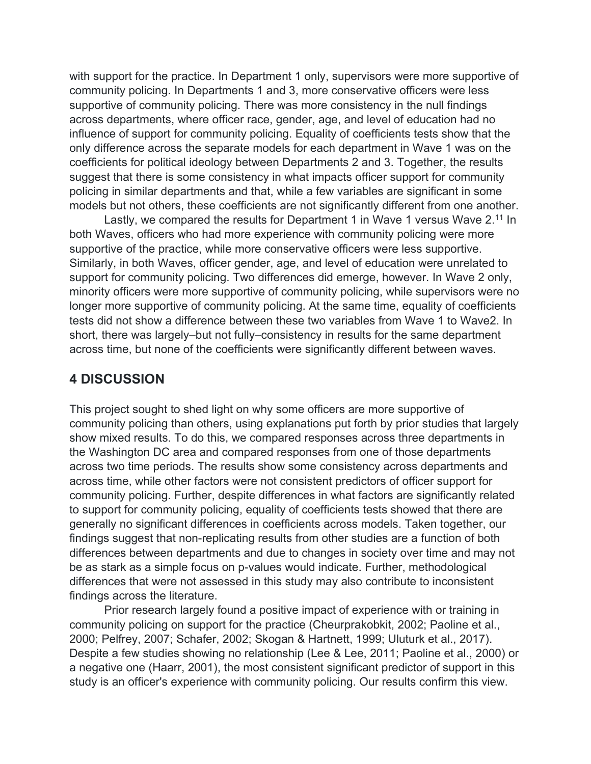with support for the practice. In Department 1 only, supervisors were more supportive of community policing. In Departments 1 and 3, more conservative officers were less supportive of community policing. There was more consistency in the null findings across departments, where officer race, gender, age, and level of education had no influence of support for community policing. Equality of coefficients tests show that the only difference across the separate models for each department in Wave 1 was on the coefficients for political ideology between Departments 2 and 3. Together, the results suggest that there is some consistency in what impacts officer support for community policing in similar departments and that, while a few variables are significant in some models but not others, these coefficients are not significantly different from one another.

Lastly, we compared the results for Department 1 in Wave 1 versus Wave 2.<sup>11</sup> In both Waves, officers who had more experience with community policing were more supportive of the practice, while more conservative officers were less supportive. Similarly, in both Waves, officer gender, age, and level of education were unrelated to support for community policing. Two differences did emerge, however. In Wave 2 only, minority officers were more supportive of community policing, while supervisors were no longer more supportive of community policing. At the same time, equality of coefficients tests did not show a difference between these two variables from Wave 1 to Wave2. In short, there was largely–but not fully–consistency in results for the same department across time, but none of the coefficients were significantly different between waves.

#### **4 DISCUSSION**

This project sought to shed light on why some officers are more supportive of community policing than others, using explanations put forth by prior studies that largely show mixed results. To do this, we compared responses across three departments in the Washington DC area and compared responses from one of those departments across two time periods. The results show some consistency across departments and across time, while other factors were not consistent predictors of officer support for community policing. Further, despite differences in what factors are significantly related to support for community policing, equality of coefficients tests showed that there are generally no significant differences in coefficients across models. Taken together, our findings suggest that non-replicating results from other studies are a function of both differences between departments and due to changes in society over time and may not be as stark as a simple focus on p-values would indicate. Further, methodological differences that were not assessed in this study may also contribute to inconsistent findings across the literature.

Prior research largely found a positive impact of experience with or training in community policing on support for the practice (Cheurprakobkit, 2002; Paoline et al., 2000; Pelfrey, 2007; Schafer, 2002; Skogan & Hartnett, 1999; Uluturk et al., 2017). Despite a few studies showing no relationship (Lee & Lee, 2011; Paoline et al., 2000) or a negative one (Haarr, 2001), the most consistent significant predictor of support in this study is an officer's experience with community policing. Our results confirm this view.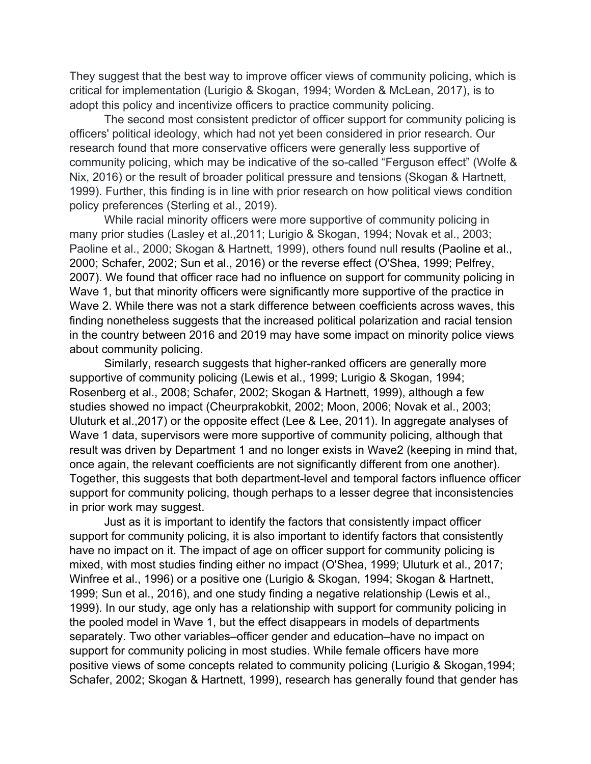They suggest that the best way to improve officer views of community policing, which is critical for implementation (Lurigio & Skogan, 1994; Worden & McLean, 2017), is to adopt this policy and incentivize officers to practice community policing.

The second most consistent predictor of officer support for community policing is officers' political ideology, which had not yet been considered in prior research. Our research found that more conservative officers were generally less supportive of community policing, which may be indicative of the so-called "Ferguson effect" (Wolfe & Nix, 2016) or the result of broader political pressure and tensions (Skogan & Hartnett, 1999). Further, this finding is in line with prior research on how political views condition policy preferences (Sterling et al., 2019).

While racial minority officers were more supportive of community policing in many prior studies (Lasley et al.,2011; Lurigio & Skogan, 1994; Novak et al., 2003; Paoline et al., 2000; Skogan & Hartnett, 1999), others found null results (Paoline et al., 2000; Schafer, 2002; Sun et al., 2016) or the reverse effect (O'Shea, 1999; Pelfrey, 2007). We found that officer race had no influence on support for community policing in Wave 1, but that minority officers were significantly more supportive of the practice in Wave 2. While there was not a stark difference between coefficients across waves, this finding nonetheless suggests that the increased political polarization and racial tension in the country between 2016 and 2019 may have some impact on minority police views about community policing.

Similarly, research suggests that higher-ranked officers are generally more supportive of community policing (Lewis et al., 1999; Lurigio & Skogan, 1994; Rosenberg et al., 2008; Schafer, 2002; Skogan & Hartnett, 1999), although a few studies showed no impact (Cheurprakobkit, 2002; Moon, 2006; Novak et al., 2003; Uluturk et al.,2017) or the opposite effect (Lee & Lee, 2011). In aggregate analyses of Wave 1 data, supervisors were more supportive of community policing, although that result was driven by Department 1 and no longer exists in Wave2 (keeping in mind that, once again, the relevant coefficients are not significantly different from one another). Together, this suggests that both department-level and temporal factors influence officer support for community policing, though perhaps to a lesser degree that inconsistencies in prior work may suggest.

Just as it is important to identify the factors that consistently impact officer support for community policing, it is also important to identify factors that consistently have no impact on it. The impact of age on officer support for community policing is mixed, with most studies finding either no impact (O'Shea, 1999; Uluturk et al., 2017; Winfree et al., 1996) or a positive one (Lurigio & Skogan, 1994; Skogan & Hartnett, 1999; Sun et al., 2016), and one study finding a negative relationship (Lewis et al., 1999). In our study, age only has a relationship with support for community policing in the pooled model in Wave 1, but the effect disappears in models of departments separately. Two other variables–officer gender and education–have no impact on support for community policing in most studies. While female officers have more positive views of some concepts related to community policing (Lurigio & Skogan,1994; Schafer, 2002; Skogan & Hartnett, 1999), research has generally found that gender has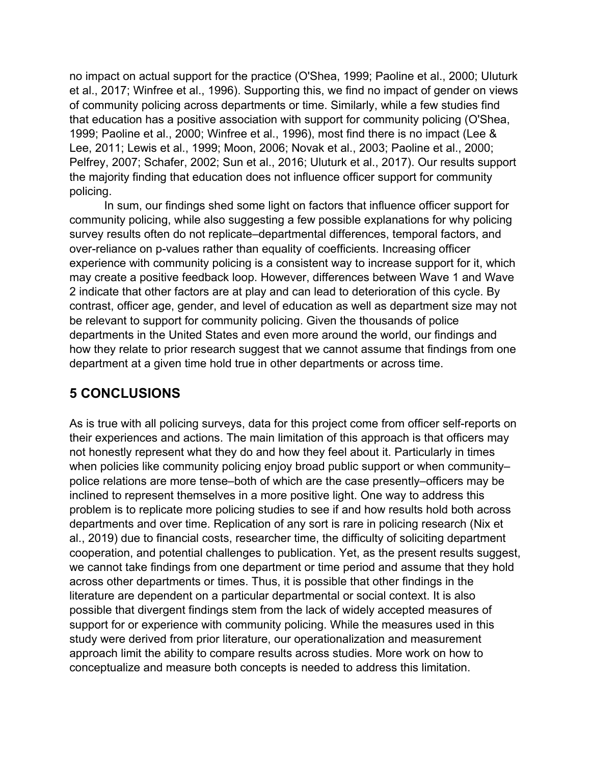no impact on actual support for the practice (O'Shea, 1999; Paoline et al., 2000; Uluturk et al., 2017; Winfree et al., 1996). Supporting this, we find no impact of gender on views of community policing across departments or time. Similarly, while a few studies find that education has a positive association with support for community policing (O'Shea, 1999; Paoline et al., 2000; Winfree et al., 1996), most find there is no impact (Lee & Lee, 2011; Lewis et al., 1999; Moon, 2006; Novak et al., 2003; Paoline et al., 2000; Pelfrey, 2007; Schafer, 2002; Sun et al., 2016; Uluturk et al., 2017). Our results support the majority finding that education does not influence officer support for community policing.

In sum, our findings shed some light on factors that influence officer support for community policing, while also suggesting a few possible explanations for why policing survey results often do not replicate–departmental differences, temporal factors, and over-reliance on p-values rather than equality of coefficients. Increasing officer experience with community policing is a consistent way to increase support for it, which may create a positive feedback loop. However, differences between Wave 1 and Wave 2 indicate that other factors are at play and can lead to deterioration of this cycle. By contrast, officer age, gender, and level of education as well as department size may not be relevant to support for community policing. Given the thousands of police departments in the United States and even more around the world, our findings and how they relate to prior research suggest that we cannot assume that findings from one department at a given time hold true in other departments or across time.

## **5 CONCLUSIONS**

As is true with all policing surveys, data for this project come from officer self-reports on their experiences and actions. The main limitation of this approach is that officers may not honestly represent what they do and how they feel about it. Particularly in times when policies like community policing enjoy broad public support or when communitypolice relations are more tense–both of which are the case presently–officers may be inclined to represent themselves in a more positive light. One way to address this problem is to replicate more policing studies to see if and how results hold both across departments and over time. Replication of any sort is rare in policing research (Nix et al., 2019) due to financial costs, researcher time, the difficulty of soliciting department cooperation, and potential challenges to publication. Yet, as the present results suggest, we cannot take findings from one department or time period and assume that they hold across other departments or times. Thus, it is possible that other findings in the literature are dependent on a particular departmental or social context. It is also possible that divergent findings stem from the lack of widely accepted measures of support for or experience with community policing. While the measures used in this study were derived from prior literature, our operationalization and measurement approach limit the ability to compare results across studies. More work on how to conceptualize and measure both concepts is needed to address this limitation.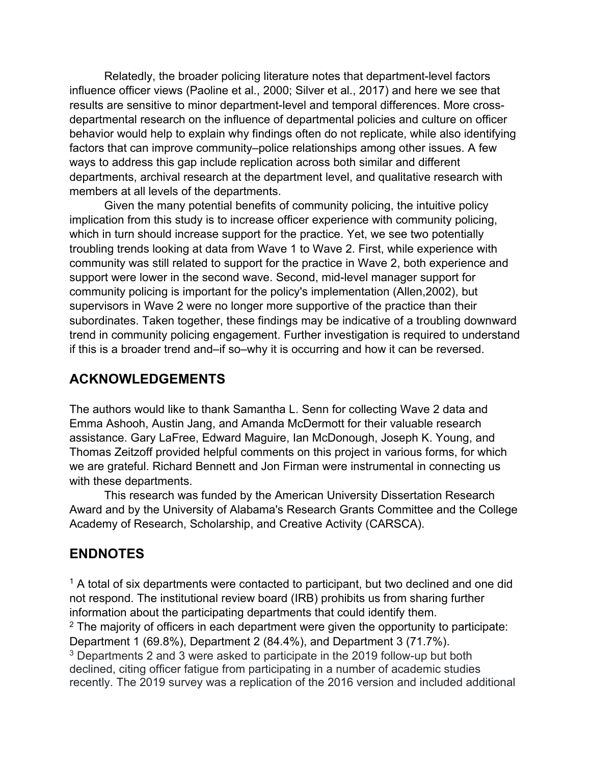Relatedly, the broader policing literature notes that department-level factors influence officer views (Paoline et al., 2000; Silver et al., 2017) and here we see that results are sensitive to minor department-level and temporal differences. More crossdepartmental research on the influence of departmental policies and culture on officer behavior would help to explain why findings often do not replicate, while also identifying factors that can improve community–police relationships among other issues. A few ways to address this gap include replication across both similar and different departments, archival research at the department level, and qualitative research with members at all levels of the departments.

Given the many potential benefits of community policing, the intuitive policy implication from this study is to increase officer experience with community policing, which in turn should increase support for the practice. Yet, we see two potentially troubling trends looking at data from Wave 1 to Wave 2. First, while experience with community was still related to support for the practice in Wave 2, both experience and support were lower in the second wave. Second, mid-level manager support for community policing is important for the policy's implementation (Allen,2002), but supervisors in Wave 2 were no longer more supportive of the practice than their subordinates. Taken together, these findings may be indicative of a troubling downward trend in community policing engagement. Further investigation is required to understand if this is a broader trend and–if so–why it is occurring and how it can be reversed.

## **ACKNOWLEDGEMENTS**

The authors would like to thank Samantha L. Senn for collecting Wave 2 data and Emma Ashooh, Austin Jang, and Amanda McDermott for their valuable research assistance. Gary LaFree, Edward Maguire, Ian McDonough, Joseph K. Young, and Thomas Zeitzoff provided helpful comments on this project in various forms, for which we are grateful. Richard Bennett and Jon Firman were instrumental in connecting us with these departments.

This research was funded by the American University Dissertation Research Award and by the University of Alabama's Research Grants Committee and the College Academy of Research, Scholarship, and Creative Activity (CARSCA).

## **ENDNOTES**

 $<sup>1</sup>$  A total of six departments were contacted to participant, but two declined and one did</sup> not respond. The institutional review board (IRB) prohibits us from sharing further information about the participating departments that could identify them.

 $2$  The majority of officers in each department were given the opportunity to participate: Department 1 (69.8%), Department 2 (84.4%), and Department 3 (71.7%).

<sup>3</sup> Departments 2 and 3 were asked to participate in the 2019 follow-up but both declined, citing officer fatigue from participating in a number of academic studies recently. The 2019 survey was a replication of the 2016 version and included additional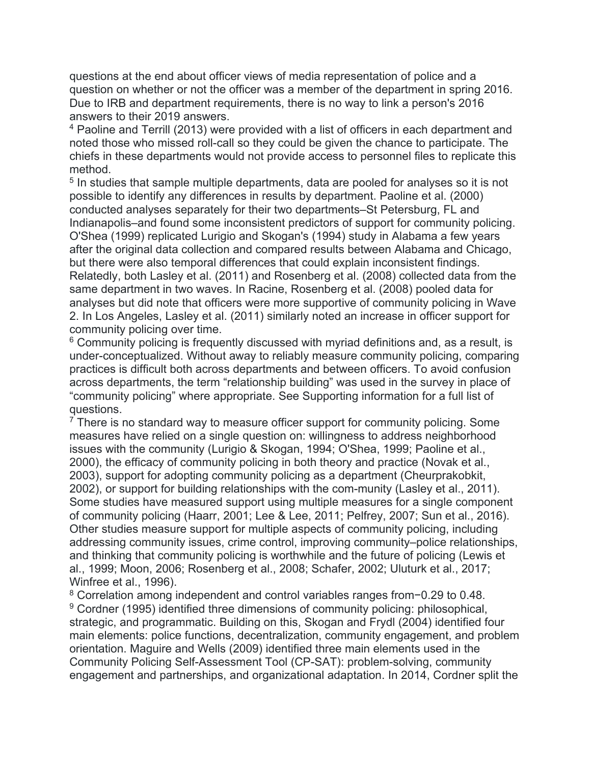questions at the end about officer views of media representation of police and a question on whether or not the officer was a member of the department in spring 2016. Due to IRB and department requirements, there is no way to link a person's 2016 answers to their 2019 answers.

<sup>4</sup> Paoline and Terrill (2013) were provided with a list of officers in each department and noted those who missed roll-call so they could be given the chance to participate. The chiefs in these departments would not provide access to personnel files to replicate this method.

<sup>5</sup> In studies that sample multiple departments, data are pooled for analyses so it is not possible to identify any differences in results by department. Paoline et al. (2000) conducted analyses separately for their two departments–St Petersburg, FL and Indianapolis–and found some inconsistent predictors of support for community policing. O'Shea (1999) replicated Lurigio and Skogan's (1994) study in Alabama a few years after the original data collection and compared results between Alabama and Chicago, but there were also temporal differences that could explain inconsistent findings. Relatedly, both Lasley et al. (2011) and Rosenberg et al. (2008) collected data from the same department in two waves. In Racine, Rosenberg et al. (2008) pooled data for analyses but did note that officers were more supportive of community policing in Wave 2. In Los Angeles, Lasley et al. (2011) similarly noted an increase in officer support for community policing over time.

<sup>6</sup> Community policing is frequently discussed with myriad definitions and, as a result, is under-conceptualized. Without away to reliably measure community policing, comparing practices is difficult both across departments and between officers. To avoid confusion across departments, the term "relationship building" was used in the survey in place of "community policing" where appropriate. See Supporting information for a full list of questions.

 $7$  There is no standard way to measure officer support for community policing. Some measures have relied on a single question on: willingness to address neighborhood issues with the community (Lurigio & Skogan, 1994; O'Shea, 1999; Paoline et al., 2000), the efficacy of community policing in both theory and practice (Novak et al., 2003), support for adopting community policing as a department (Cheurprakobkit, 2002), or support for building relationships with the com-munity (Lasley et al., 2011). Some studies have measured support using multiple measures for a single component of community policing (Haarr, 2001; Lee & Lee, 2011; Pelfrey, 2007; Sun et al., 2016). Other studies measure support for multiple aspects of community policing, including addressing community issues, crime control, improving community–police relationships, and thinking that community policing is worthwhile and the future of policing (Lewis et al., 1999; Moon, 2006; Rosenberg et al., 2008; Schafer, 2002; Uluturk et al., 2017; Winfree et al., 1996).

<sup>8</sup> Correlation among independent and control variables ranges from−0.29 to 0.48. <sup>9</sup> Cordner (1995) identified three dimensions of community policing: philosophical, strategic, and programmatic. Building on this, Skogan and Frydl (2004) identified four main elements: police functions, decentralization, community engagement, and problem orientation. Maguire and Wells (2009) identified three main elements used in the Community Policing Self-Assessment Tool (CP-SAT): problem-solving, community engagement and partnerships, and organizational adaptation. In 2014, Cordner split the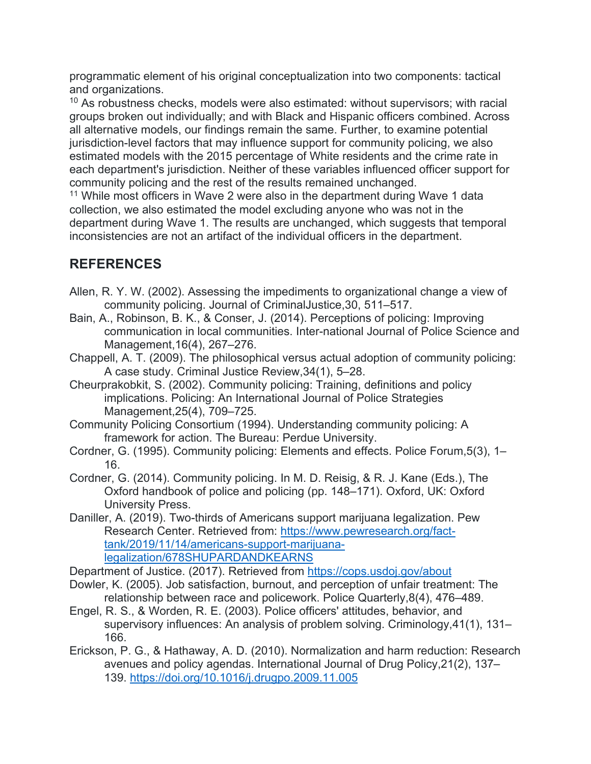programmatic element of his original conceptualization into two components: tactical and organizations.

 $10$  As robustness checks, models were also estimated: without supervisors; with racial groups broken out individually; and with Black and Hispanic officers combined. Across all alternative models, our findings remain the same. Further, to examine potential jurisdiction-level factors that may influence support for community policing, we also estimated models with the 2015 percentage of White residents and the crime rate in each department's jurisdiction. Neither of these variables influenced officer support for community policing and the rest of the results remained unchanged.

<sup>11</sup> While most officers in Wave 2 were also in the department during Wave 1 data collection, we also estimated the model excluding anyone who was not in the department during Wave 1. The results are unchanged, which suggests that temporal inconsistencies are not an artifact of the individual officers in the department.

## **REFERENCES**

- Allen, R. Y. W. (2002). Assessing the impediments to organizational change a view of community policing. Journal of CriminalJustice,30, 511–517.
- Bain, A., Robinson, B. K., & Conser, J. (2014). Perceptions of policing: Improving communication in local communities. Inter-national Journal of Police Science and Management,16(4), 267–276.
- Chappell, A. T. (2009). The philosophical versus actual adoption of community policing: A case study. Criminal Justice Review,34(1), 5–28.
- Cheurprakobkit, S. (2002). Community policing: Training, definitions and policy implications. Policing: An International Journal of Police Strategies Management,25(4), 709–725.
- Community Policing Consortium (1994). Understanding community policing: A framework for action. The Bureau: Perdue University.
- Cordner, G. (1995). Community policing: Elements and effects. Police Forum,5(3), 1– 16.
- Cordner, G. (2014). Community policing. In M. D. Reisig, & R. J. Kane (Eds.), The Oxford handbook of police and policing (pp. 148–171). Oxford, UK: Oxford University Press.
- Daniller, A. (2019). Two-thirds of Americans support marijuana legalization. Pew Research Center. Retrieved from: [https://www.pewresearch.org/fact](https://www.pewresearch.org/fact-tank/2019/11/14/americans-support-marijuana-legalization/678SHUPARDANDKEARNS)[tank/2019/11/14/americans-support-marijuana](https://www.pewresearch.org/fact-tank/2019/11/14/americans-support-marijuana-legalization/678SHUPARDANDKEARNS)[legalization/678SHUPARDANDKEARNS](https://www.pewresearch.org/fact-tank/2019/11/14/americans-support-marijuana-legalization/678SHUPARDANDKEARNS)
- Department of Justice. (2017). Retrieved from<https://cops.usdoj.gov/about>
- Dowler, K. (2005). Job satisfaction, burnout, and perception of unfair treatment: The relationship between race and policework. Police Quarterly,8(4), 476–489.
- Engel, R. S., & Worden, R. E. (2003). Police officers' attitudes, behavior, and supervisory influences: An analysis of problem solving. Criminology,41(1), 131– 166.
- Erickson, P. G., & Hathaway, A. D. (2010). Normalization and harm reduction: Research avenues and policy agendas. International Journal of Drug Policy,21(2), 137– 139.<https://doi.org/10.1016/j.drugpo.2009.11.005>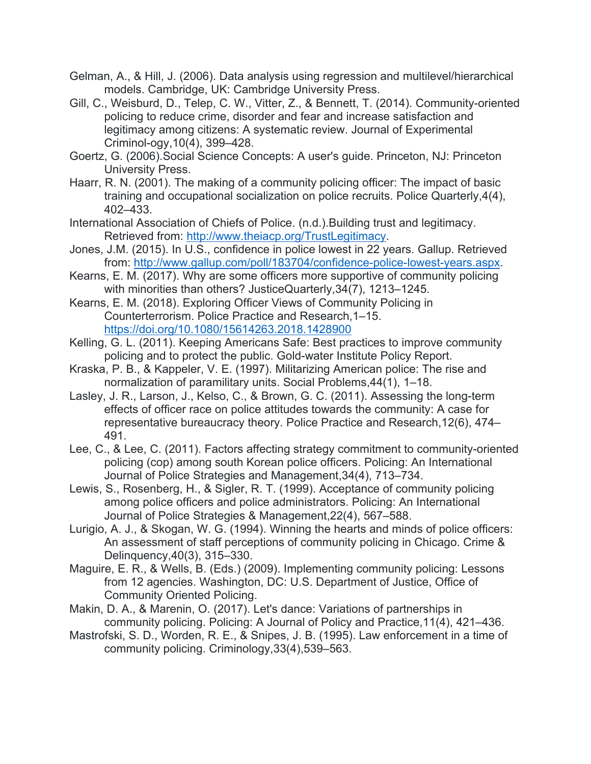- Gelman, A., & Hill, J. (2006). Data analysis using regression and multilevel/hierarchical models. Cambridge, UK: Cambridge University Press.
- Gill, C., Weisburd, D., Telep, C. W., Vitter, Z., & Bennett, T. (2014). Community-oriented policing to reduce crime, disorder and fear and increase satisfaction and legitimacy among citizens: A systematic review. Journal of Experimental Criminol-ogy,10(4), 399–428.
- Goertz, G. (2006).Social Science Concepts: A user's guide. Princeton, NJ: Princeton University Press.
- Haarr, R. N. (2001). The making of a community policing officer: The impact of basic training and occupational socialization on police recruits. Police Quarterly,4(4), 402–433.
- International Association of Chiefs of Police. (n.d.).Building trust and legitimacy. Retrieved from: [http://www.theiacp.org/TrustLegitimacy.](http://www.theiacp.org/TrustLegitimacy)
- Jones, J.M. (2015). In U.S., confidence in police lowest in 22 years. Gallup. Retrieved from: [http://www.gallup.com/poll/183704/confidence-police-lowest-years.aspx.](http://www.gallup.com/poll/183704/confidence-police-lowest-years.aspx)
- Kearns, E. M. (2017). Why are some officers more supportive of community policing with minorities than others? JusticeQuarterly,34(7), 1213–1245.
- Kearns, E. M. (2018). Exploring Officer Views of Community Policing in Counterterrorism. Police Practice and Research,1–15. <https://doi.org/10.1080/15614263.2018.1428900>
- Kelling, G. L. (2011). Keeping Americans Safe: Best practices to improve community policing and to protect the public. Gold-water Institute Policy Report.
- Kraska, P. B., & Kappeler, V. E. (1997). Militarizing American police: The rise and normalization of paramilitary units. Social Problems,44(1), 1–18.
- Lasley, J. R., Larson, J., Kelso, C., & Brown, G. C. (2011). Assessing the long-term effects of officer race on police attitudes towards the community: A case for representative bureaucracy theory. Police Practice and Research,12(6), 474– 491.
- Lee, C., & Lee, C. (2011). Factors affecting strategy commitment to community-oriented policing (cop) among south Korean police officers. Policing: An International Journal of Police Strategies and Management,34(4), 713–734.
- Lewis, S., Rosenberg, H., & Sigler, R. T. (1999). Acceptance of community policing among police officers and police administrators. Policing: An International Journal of Police Strategies & Management,22(4), 567–588.
- Lurigio, A. J., & Skogan, W. G. (1994). Winning the hearts and minds of police officers: An assessment of staff perceptions of community policing in Chicago. Crime & Delinquency,40(3), 315–330.
- Maguire, E. R., & Wells, B. (Eds.) (2009). Implementing community policing: Lessons from 12 agencies. Washington, DC: U.S. Department of Justice, Office of Community Oriented Policing.
- Makin, D. A., & Marenin, O. (2017). Let's dance: Variations of partnerships in community policing. Policing: A Journal of Policy and Practice,11(4), 421–436.
- Mastrofski, S. D., Worden, R. E., & Snipes, J. B. (1995). Law enforcement in a time of community policing. Criminology,33(4),539–563.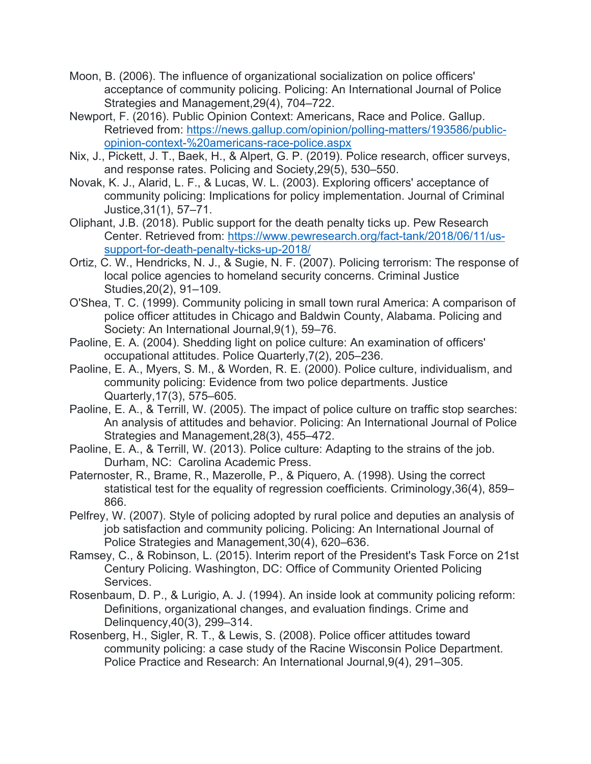- Moon, B. (2006). The influence of organizational socialization on police officers' acceptance of community policing. Policing: An International Journal of Police Strategies and Management,29(4), 704–722.
- Newport, F. (2016). Public Opinion Context: Americans, Race and Police. Gallup. Retrieved from: [https://news.gallup.com/opinion/polling-matters/193586/public](https://news.gallup.com/opinion/polling-matters/193586/public-opinion-context-%20americans-race-police.aspx)[opinion-context-%20americans-race-police.aspx](https://news.gallup.com/opinion/polling-matters/193586/public-opinion-context-%20americans-race-police.aspx)
- Nix, J., Pickett, J. T., Baek, H., & Alpert, G. P. (2019). Police research, officer surveys, and response rates. Policing and Society,29(5), 530–550.
- Novak, K. J., Alarid, L. F., & Lucas, W. L. (2003). Exploring officers' acceptance of community policing: Implications for policy implementation. Journal of Criminal Justice,31(1), 57–71.
- Oliphant, J.B. (2018). Public support for the death penalty ticks up. Pew Research Center. Retrieved from: [https://www.pewresearch.org/fact-tank/2018/06/11/us](https://www.pewresearch.org/fact-tank/2018/06/11/us-support-for-death-penalty-ticks-up-2018/)[support-for-death-penalty-ticks-up-2018/](https://www.pewresearch.org/fact-tank/2018/06/11/us-support-for-death-penalty-ticks-up-2018/)
- Ortiz, C. W., Hendricks, N. J., & Sugie, N. F. (2007). Policing terrorism: The response of local police agencies to homeland security concerns. Criminal Justice Studies,20(2), 91–109.
- O'Shea, T. C. (1999). Community policing in small town rural America: A comparison of police officer attitudes in Chicago and Baldwin County, Alabama. Policing and Society: An International Journal,9(1), 59–76.
- Paoline, E. A. (2004). Shedding light on police culture: An examination of officers' occupational attitudes. Police Quarterly,7(2), 205–236.
- Paoline, E. A., Myers, S. M., & Worden, R. E. (2000). Police culture, individualism, and community policing: Evidence from two police departments. Justice Quarterly,17(3), 575–605.
- Paoline, E. A., & Terrill, W. (2005). The impact of police culture on traffic stop searches: An analysis of attitudes and behavior. Policing: An International Journal of Police Strategies and Management,28(3), 455–472.
- Paoline, E. A., & Terrill, W. (2013). Police culture: Adapting to the strains of the job. Durham, NC: Carolina Academic Press.
- Paternoster, R., Brame, R., Mazerolle, P., & Piquero, A. (1998). Using the correct statistical test for the equality of regression coefficients. Criminology,36(4), 859– 866.
- Pelfrey, W. (2007). Style of policing adopted by rural police and deputies an analysis of job satisfaction and community policing. Policing: An International Journal of Police Strategies and Management,30(4), 620–636.
- Ramsey, C., & Robinson, L. (2015). Interim report of the President's Task Force on 21st Century Policing. Washington, DC: Office of Community Oriented Policing Services.
- Rosenbaum, D. P., & Lurigio, A. J. (1994). An inside look at community policing reform: Definitions, organizational changes, and evaluation findings. Crime and Delinquency,40(3), 299–314.
- Rosenberg, H., Sigler, R. T., & Lewis, S. (2008). Police officer attitudes toward community policing: a case study of the Racine Wisconsin Police Department. Police Practice and Research: An International Journal,9(4), 291–305.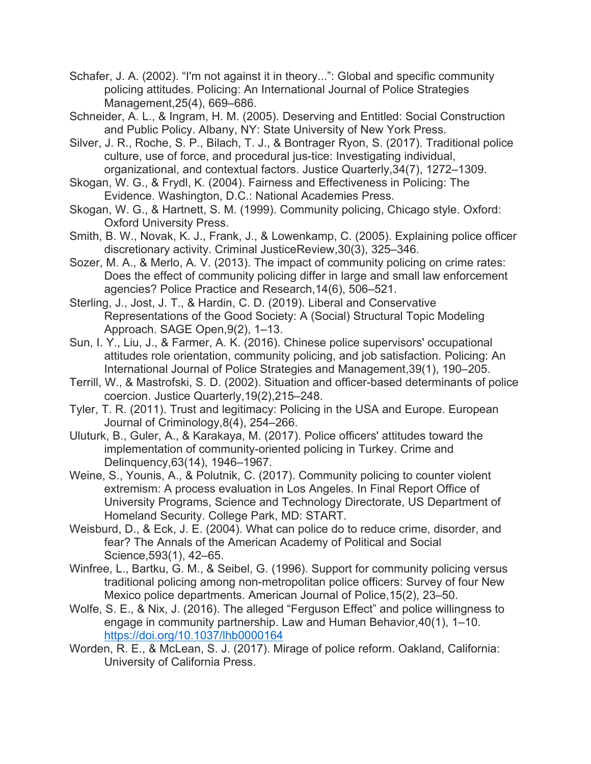- Schafer, J. A. (2002). "I'm not against it in theory...": Global and specific community policing attitudes. Policing: An International Journal of Police Strategies Management,25(4), 669–686.
- Schneider, A. L., & Ingram, H. M. (2005). Deserving and Entitled: Social Construction and Public Policy. Albany, NY: State University of New York Press.
- Silver, J. R., Roche, S. P., Bilach, T. J., & Bontrager Ryon, S. (2017). Traditional police culture, use of force, and procedural jus-tice: Investigating individual, organizational, and contextual factors. Justice Quarterly,34(7), 1272–1309.
- Skogan, W. G., & Frydl, K. (2004). Fairness and Effectiveness in Policing: The Evidence. Washington, D.C.: National Academies Press.
- Skogan, W. G., & Hartnett, S. M. (1999). Community policing, Chicago style. Oxford: Oxford University Press.
- Smith, B. W., Novak, K. J., Frank, J., & Lowenkamp, C. (2005). Explaining police officer discretionary activity. Criminal JusticeReview,30(3), 325–346.
- Sozer, M. A., & Merlo, A. V. (2013). The impact of community policing on crime rates: Does the effect of community policing differ in large and small law enforcement agencies? Police Practice and Research,14(6), 506–521.
- Sterling, J., Jost, J. T., & Hardin, C. D. (2019). Liberal and Conservative Representations of the Good Society: A (Social) Structural Topic Modeling Approach. SAGE Open,9(2), 1–13.
- Sun, I. Y., Liu, J., & Farmer, A. K. (2016). Chinese police supervisors' occupational attitudes role orientation, community policing, and job satisfaction. Policing: An International Journal of Police Strategies and Management,39(1), 190–205.
- Terrill, W., & Mastrofski, S. D. (2002). Situation and officer-based determinants of police coercion. Justice Quarterly,19(2),215–248.
- Tyler, T. R. (2011). Trust and legitimacy: Policing in the USA and Europe. European Journal of Criminology,8(4), 254–266.
- Uluturk, B., Guler, A., & Karakaya, M. (2017). Police officers' attitudes toward the implementation of community-oriented policing in Turkey. Crime and Delinquency,63(14), 1946–1967.
- Weine, S., Younis, A., & Polutnik, C. (2017). Community policing to counter violent extremism: A process evaluation in Los Angeles. In Final Report Office of University Programs, Science and Technology Directorate, US Department of Homeland Security. College Park, MD: START.
- Weisburd, D., & Eck, J. E. (2004). What can police do to reduce crime, disorder, and fear? The Annals of the American Academy of Political and Social Science,593(1), 42–65.
- Winfree, L., Bartku, G. M., & Seibel, G. (1996). Support for community policing versus traditional policing among non-metropolitan police officers: Survey of four New Mexico police departments. American Journal of Police,15(2), 23–50.
- Wolfe, S. E., & Nix, J. (2016). The alleged "Ferguson Effect" and police willingness to engage in community partnership. Law and Human Behavior,40(1), 1–10. <https://doi.org/10.1037/lhb0000164>
- Worden, R. E., & McLean, S. J. (2017). Mirage of police reform. Oakland, California: University of California Press.